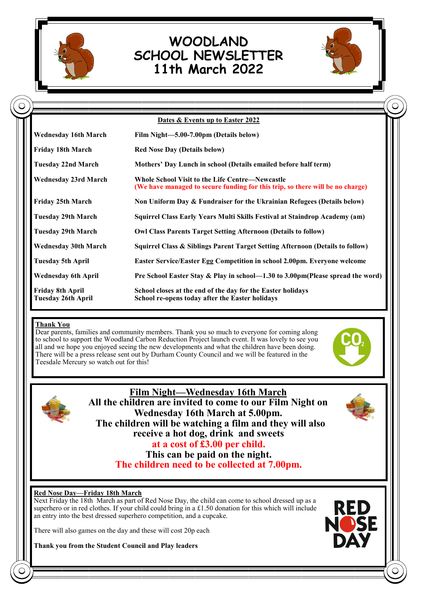

# **WOODLAND SCHOOL NEWSLETTER 11th March 2022**



|                                                      | Dates & Events up to Easter 2022                                                                                                        |
|------------------------------------------------------|-----------------------------------------------------------------------------------------------------------------------------------------|
| <b>Wednesday 16th March</b>                          | Film Night-5.00-7.00pm (Details below)                                                                                                  |
| <b>Friday 18th March</b>                             | <b>Red Nose Day (Details below)</b>                                                                                                     |
| <b>Tuesday 22nd March</b>                            | Mothers' Day Lunch in school (Details emailed before half term)                                                                         |
| <b>Wednesday 23rd March</b>                          | <b>Whole School Visit to the Life Centre—Newcastle</b><br>(We have managed to secure funding for this trip, so there will be no charge) |
| <b>Friday 25th March</b>                             | Non Uniform Day & Fundraiser for the Ukrainian Refugees (Details below)                                                                 |
| <b>Tuesday 29th March</b>                            | Squirrel Class Early Years Multi Skills Festival at Staindrop Academy (am)                                                              |
| Tuesday 29th March                                   | <b>Owl Class Parents Target Setting Afternoon (Details to follow)</b>                                                                   |
| <b>Wednesday 30th March</b>                          | Squirrel Class & Siblings Parent Target Setting Afternoon (Details to follow)                                                           |
| <b>Tuesday 5th April</b>                             | Easter Service/Easter Egg Competition in school 2.00pm. Everyone welcome                                                                |
| <b>Wednesday 6th April</b>                           | Pre School Easter Stay & Play in school—1.30 to 3.00pm(Please spread the word)                                                          |
| <b>Friday 8th April</b><br><b>Tuesday 26th April</b> | School closes at the end of the day for the Easter holidays<br>School re-opens today after the Easter holidays                          |

## **Thank You**

Dear parents, families and community members. Thank you so much to everyone for coming along to school to support the Woodland Carbon Reduction Project launch event. It was lovely to see you all and we hope you enjoyed seeing the new developments and what the children have been doing. There will be a press release sent out by Durham County Council and we will be featured in the Teesdale Mercury so watch out for this!





**Film Night—Wednesday 16th March All the children are invited to come to our Film Night on Wednesday 16th March at 5.00pm. The children will be watching a film and they will also receive a hot dog, drink and sweets at a cost of £3.00 per child. This can be paid on the night.**

**The children need to be collected at 7.00pm.**

### **Red Nose Day—Friday 18th March**

Next Friday the 18th March as part of Red Nose Day, the child can come to school dressed up as a superhero or in red clothes. If your child could bring in a £1.50 donation for this which will include an entry into the best dressed superhero competition, and a cupcake.

There will also games on the day and these will cost 20p each

**Thank you from the Student Council and Play leaders**